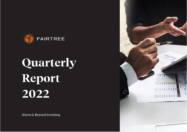

# Quarterly Report 2022

Above & Beyond Investing

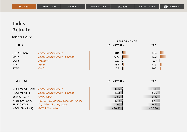## **Index Activity**

|                                                                                                                  |                                                                                                                                                                 | PERFORMANCE                                                        |                                                                    |
|------------------------------------------------------------------------------------------------------------------|-----------------------------------------------------------------------------------------------------------------------------------------------------------------|--------------------------------------------------------------------|--------------------------------------------------------------------|
| LOCAL                                                                                                            |                                                                                                                                                                 | QUARTERLY                                                          | <b>YTD</b>                                                         |
| <b>JSE All Share</b><br><b>SWIX</b><br><b>SAPY</b><br><b>ALBI</b><br><b>STEFI</b>                                | <b>Local Equity Market</b><br>Local Equity Market - Capped<br>Property<br><b>Bonds</b><br>Cash                                                                  | 3.84<br>6.72<br>$-1.27$<br>1.86<br>1.03                            | 3.84<br>6.72<br>$-1.27$<br>1.86<br>1.03                            |
| GLOBAL                                                                                                           |                                                                                                                                                                 | QUARTERLY                                                          | <b>YTD</b>                                                         |
| MSCI World (ZAR)<br>MSCI World (\$)<br>Shangai (ZAR)<br><b>FTSE 100 (ZAR)</b><br>SP 500 (ZAR)<br>MSCI (EM - ZAR) | <b>Local Equity Market</b><br>Local Equity Market - Capped<br>China Index<br>Top 100 on London Stock Exchange<br>Top 500 US Companies<br><b>BRICS Countries</b> | $-13.16$<br>$-5.33$<br>$-17.80$<br>$-8.44$<br>$-12.65$<br>$-20.20$ | $-13.16$<br>$-5.33$<br>$-17.80$<br>$-8.44$<br>$-12.65$<br>$-20.20$ |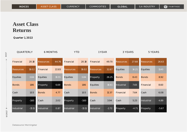## **Asset Class Returns**

Quarter 1, 2022

| QUARTERLY       |              | <b>6 MONTHS</b>  |       | YTD              |              | 1 YEAR           |         | 3 YEARS          |         | 5 YEARS          |              |
|-----------------|--------------|------------------|-------|------------------|--------------|------------------|---------|------------------|---------|------------------|--------------|
| Financial       | 20.18        | <b>Resources</b> | 44.76 | Financial        | 20.18        | Financial        | 49.70   | <b>Resources</b> | 27.68   | <b>Resources</b> | 26.63        |
| Resources       | <b>19.02</b> | Financial        | 22.83 | <b>Resources</b> | <b>19.02</b> | <b>Resources</b> | 32.67   | <b>Equities</b>  | 14.21   | Equities         | <b>11.40</b> |
| <b>Equities</b> | 3.84         | Equities         | 19.55 | <b>Equities</b>  | 3.84         | Property         | 26.25   | <b>Bonds</b>     | 8.43    | <b>Bonds</b>     | 8.92         |
| <b>Bonds</b>    | 1.86         | Property         | 6.69  | <b>Bonds</b>     | 1.86         | Equities         | 18.61   | Industrial       | 7.65    | Financial        | 8.60         |
| Cash            | 1.03         | <b>Bonds</b>     | 4.77  | Cash             | 1.03         | <b>Bonds</b>     | 12.37   | Financial        | 7.64    | Cash             | 6.08         |
| Property        | $-1.60$      | Cash             | 2.02  | Property         | $-1.60$      | Cash             | 3.94    | Cash             | 5.23    | Industrial       | 4.89         |
| Industrial      | $-13.11$     | Industrial       | O.87  | Industrial       | $-13.11$     | Industrial       | $-2.72$ | Property         | $-4.71$ | Property         | $-5.67$      |

BEST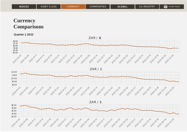## **Currency Comparisons**

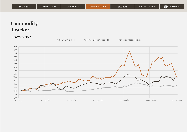## **Commodity Tracker**

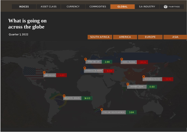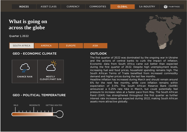Quarter 1, 2022



### **GEO - ECONOMIC CLIMATE OUTLOOK**



### **GEO - POLITICAL TEMPERATURE**



The first quarter of 2022 was dominated by the ongoing war in Ukraine and the actions of central banks to curb the impact of inflation. Economic data from South Africa came out better than expected during the first quarter of 2022. Despite high unemployment levels, increasing fuel and food prices, household spending remains high. The South African Terms of Trade benefited from increased commodity demand and higher prices during the last few months.

Headline inflation has increased during March and should remain around 6% for the next few months, while core inflation remains within expectation of 3-4%. The South African Reserve Bank (SARB) announced a 0.25% rate hike in March, but could potentially feel pressure to increase rates at a faster pace from May. The South African Rand (ZAR) has strengthened throughout the first quarter as further interest rate increases are expected during 2022, making South African assets more attractive globally.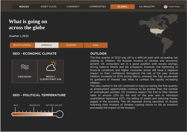Quarter 1, 2022



### **GEO - ECONOMIC CLIMATE OUTLOOK**



### **GEO - POLITICAL TEMPERATURE**



The first quarter of 2022 was off to a difficult start with increasing risk relating to inflation, the Russian invasion of Ukraine and economic growth. US consumers are in a good position with excess savings, strong balance sheets and job prospects, however, the tightening of financial conditions and higher consumer prices will have a negative impact on their confidence throughout the rest of the year. Annual inflation increased to 8.5% during March, whereas the Fed accelerated its guidance of interest rate hikes to combat the rapidly increasing inflation.

The jobs market in the US continued to improve during the first quarter, as employment opportunities continue to be greater than the number of unemployed workers. US investors expect the Fed to hike interest rates to around 2.5% by the end of the year and to introduce quantitative tightening (QT), the selling of assets and reducing money supply in the economy. The US imposed strong sanctions on Russia, following their invasion of Ukraine, causing stocks to fall as investors processed the impact of the invasion.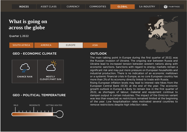Quarter 1, 2022

| <b>SOUTH AFRICA</b> | AMERICA | ELIROPE | ASIA |
|---------------------|---------|---------|------|
|                     |         |         |      |

### **GEO - ECONOMIC CLIMATE OUTLOOK**



### **GEO - POLITICAL TEMPERATURE**



The main talking point in Europe during the first quarter of 2022, was the Russian invasion of Ukraine. The ongoing war between Russia and Ukraine lead to increased tension between western nations along with economic sanctions. Sanctions with regard to energy markets remain a significant risk and may put more pressure on European households and industrial production. There is no indication of an economic meltdown or a systemic financial crisis in Europe, as no core European country has more than 2% of its economy directly linked to trade with Russia. Rising European inflation levels may lead to interest rate hikes from the European Central Bank (ECB) at the end of the year. The economic growth outlook in Europe is likely to remain low in the first quarter of 2022, as shortages of labour, material and equipment continue to dampen output in certain industries. The impact of the Omicron variant was less than expected as restrictions remained limited at the beginning of the year. Low hospitalisation rates motivated several countries to remove restrictions despite high infection rates.

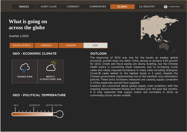Quarter 1, 2022



### **GEO - ECONOMIC CLIMATE OUTLOOK**



### **GEO - POLITICAL TEMPERATURE**



The beginning of 2022 was one for the books as weaker global economic growth does not deter China, aiming to achieve 5.5% growth for 2022. Credit and fiscal easing are slowly building, but the Chinese health policy is countering these measures, due to increasing Covid cases and newly imposed lockdowns in many cities including Shanghai. Covid-19 cases spiked to the highest levels in 2 years, despite the Chinese government implementing one of the harshest virus elimination policies. These strict lockdown measures are causing supply constrains in China, especially around food supplies.

Investors are concerned about global supply chain problems, with the ongoing tension between Russia and Ukraine over the past few months. It is only expected that supply chains will normalize in 2023, as commodity prices remain volatile.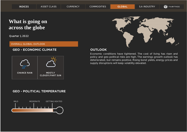Quarter 1, 2022

#### OVERALL GLOBAL OUTLOOK

#### **GEO - ECONOMIC CLIMATE OUTLOOK**



#### **GEO - POLITICAL TEMPERATURE**





Economic conditions have tightened. The cost of living has risen and policy and geo-political risks are high. The earnings growth outlook has deteriorated, but remains positive. Rising bond yields, energy prices and supply disruptions will keep volatility elevated.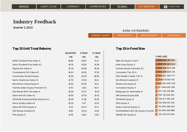#### Quarter 1, 2022

| <b>ASISA CATEGORIES:</b> |              |                 |            |  |  |
|--------------------------|--------------|-----------------|------------|--|--|
| GENERAL FOUITY!          | HIGH FOLIITY | MEDILIM EOLIITY | LOW FOLLEY |  |  |

|                                     | <b>QUARTER</b> | 1 YEAR | 5 YEAR |                                       |
|-------------------------------------|----------------|--------|--------|---------------------------------------|
|                                     | $(\%)$         | $(\%)$ | $(\%)$ |                                       |
| ABSA Dividend Plus Index A          | 16.80          | 41.04  | N/A    | M&G SA Equity Fund F                  |
| Satrix Dividend Plus Index A1       | 16.76          | 41.39  | 15.58  | Allan Gray Equity A                   |
| Sygnia Divi Index A                 | 15.76          | 39.38  | 15.54  | Fairtree Equity Prescient A1          |
| Counterpoint SCI Value A1           | 14.03          | 42.10  | 17.55  | Coronation Top 20 A                   |
| Community Growth Equity             | 13.56          | 24.05  | 10.90  | PSG Wealth Creator FoF D              |
| Satrix Smartcore Index A1           | 12.70          | 27.61  | N/A    | Old Mutual Investors R                |
| Momentum Value Equity A             | 12.02          | 33.30  | N/A    | Ninety One Equity R                   |
| Fairtree Select Equity Prescient A1 | 11.75          | 21.01  | N/A    | Coronation Equity A                   |
| Old Mutual RAFI 40 Index A          | 10.99          | 37.57  | 12.51  | Nedgroup Inv Rainmaker A              |
| Satrix Rafi 40 Index A1             | 10.95          | 37.54  | 12.42  | SIM General Equity B10                |
| STANLIB Enhanced Multi Style Eq A1  | 10.59          | 27.18  | 12.26  | <b>STANLIB Equity R</b>               |
| Satrix Quality Index A1             | 10.35          | 7.47   | 8.25   | PSG Equity A                          |
| Select BCI ESG Equity A             | 9.53           | 23.07  | N/A    | Oasis Crescent Equity D               |
| Old Mutual Investors R              | 8.82           | 24.51  | 6.56   | PortfolioMetrix BCI SA Equity Fund B2 |
| PSG Equity A                        | 8.78           | 31.22  | 5.82   | 36ONE BCI Equity A                    |

| $(\%)$ | $(\%)$ | $(\%)$ |                                       | <b>FUND SIZE</b>            |
|--------|--------|--------|---------------------------------------|-----------------------------|
| 6.80   | 41.04  | N/A    | M&G SA Equity Fund F                  | R39 669 170 560             |
| 6.76   | 41.39  | 15.58  | Allan Gray Equity A                   | R39 578 243 002             |
| 5.76   | 39.38  | 15.54  | Fairtree Equity Prescient A1          | R24 914 503 638             |
| 4.O3   | 42.10  | 17.55  | Coronation Top 20 A                   | R24 595 026 174             |
| 3.56   | 24.05  | 10.90  | PSG Wealth Creator FoF D              | R <sub>15</sub> 933 346 777 |
| 2.70   | 27.61  | N/A    | Old Mutual Investors R                | R14 531 563 421             |
| 2.02   | 33.30  | N/A    | Ninety One Equity R                   | R12 393 046 709             |
| 11.75  | 21.01  | N/A    | Coronation Equity A                   | R7 946 639 799              |
| 0.99   | 37.57  | 12.51  | Nedgroup Inv Rainmaker A              | R7 224 232 169              |
| 0.95   | 37.54  | 12.42  | SIM General Equity B10                | R6 713 008 297              |
| 0.59   | 27.18  | 12.26  | <b>STANLIB Equity R</b>               | R6 477 292 412              |
| 0.35   | 7.47   | 8.25   | PSG Equity A                          | R6 391 433 709              |
| 9.53   | 23.07  | N/A    | Oasis Crescent Equity D               | R5 845 386 567              |
| 8.82   | 24.51  | 6.56   | PortfolioMetrix BCI SA Equity Fund B2 | R5 584 659 988              |
| 8.78   | 31.22  | 5.82   | 36ONE BCI Equity A                    | R5 413 570 945              |
|        |        |        |                                       |                             |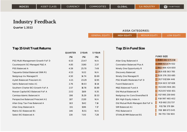Quarter 1, 2022

| <b>ASISA CATEGORIES:</b> |               |                  |           |  |
|--------------------------|---------------|------------------|-----------|--|
| 'GENERAL FOULLY.         | NHIGH FOUITYN | I MEDIUM FOUITY' | TOW FOUTY |  |

|                                   | <b>QUARTER</b> | 1 YEAR | 5 YEAR |                                     |                  |
|-----------------------------------|----------------|--------|--------|-------------------------------------|------------------|
|                                   | (%)            | $(\%)$ | $(\%)$ |                                     | <b>FUND SIZE</b> |
| PSG Multi-Management Growth FoF D | 6.53           | 23.47  | N/A    | Allan Gray Balanced A               | R159 482 075 818 |
| Counterpoint SCI Managed P&G A    | 4.85           | 31.90  | 2.37   | Coronation Balanced Plus A          | R99 921 679 932  |
| PSG Balanced A                    | 4.59           | 25.70  | 7.49   | Ninety One Opportunity R            | R62 466 424 60   |
| Taquanta Global Balanced SNN R1   | 4.53           | 9.02   | N/A    | Discovery Balanced                  | R35 815 563 785  |
| Nedgroup Inv Managed R            | 4.50           | 14.74  | 10.69  | Ninety One Managed R                | R29 376 355 685  |
| Aylett Balanced Prescient A1      | 4.21           | 23.29  | 12.95  | PSG Wealth Moderate FoF D           | R27 911 584 446  |
| Satrix Balanced Index A1          | 2.76           | 19.03  | 10.14  | Foord Balanced A                    | R24 603 317 828  |
| Southern Charter BCI Growth FoF A | 2.57           | 18.78  | 10.89  | M&G Balanced Fund A                 | R21 065 906 281  |
| Rowan Capital BCI Balanced FoF A  | 2.02           | 11.69  | 9.35   | Old Mutual Balanced R               | R21 057 650 831  |
| Camissa Islamic Balanced A        | 1.98           | 15.29  | 10.53  | Nedgroup Inv Core Diversified B     | R17 995 259 840  |
| Perspective Balanced Prescient A1 | 1.87           | 21.30  | N/A    | 10X High Equity Index A             | R14 997 465 402  |
| Allan Gray Tax-Free Balanced A    | 1.63           | 11.42  | 7.14   | Old Mutual Multi-Managers Bal FoF A | R13 682 251 737  |
| Allan Gray Balanced A             | 1.51           | 11.96  | 7.17   | SIM Balanced A1                     | R11 716 379 184  |
| Matrix SCI Balanced B1            | 1.46           | 15.51  | N/A    | PSG Balanced A                      | R10 188 673 045  |
| Select BCI Balanced A             | 1.30           | 7.00   | 7.28   | STANLIB MM Balanced B1              | R8 755 726 900   |
|                                   |                |        |        |                                     |                  |

| $(\%)$            | $(\%)$ | $(\%)$ |                                     | <b>FUND SIZE</b> |
|-------------------|--------|--------|-------------------------------------|------------------|
| 6.53              | 23.47  | N/A    | Allan Gray Balanced A               | R159 482 075 818 |
| 4.85              | 31.90  | 2.37   | Coronation Balanced Plus A          | R99 921 679 932  |
| 4.59              | 25.70  | 7.49   | Ninety One Opportunity R            | R62 466 424 600  |
| 4.53              | 9.02   | N/A    | Discovery Balanced                  | R35 815 563 785  |
| 4.5O              | 14.74  | 10.69  | Ninety One Managed R                | R29 376 355 685  |
| 4.21              | 23.29  | 12.95  | PSG Wealth Moderate FoF D           | R27 911 584 446  |
| 2.76              | 19.03  | 10.14  | Foord Balanced A                    | R24 603 317 828  |
| 2.57              | 18.78  | 10.89  | M&G Balanced Fund A                 | R21 065 906 281  |
| 2.02              | 11.69  | 9.35   | Old Mutual Balanced R               | R21 057 650 831  |
| 1.98              | 15.29  | 10.53  | Nedgroup Inv Core Diversified B     | R17 995 259 840  |
| 1.87              | 21.30  | N/A    | 10X High Equity Index A             | R14 997 465 402  |
| 1.63              | 11.42  | 7.14   | Old Mutual Multi-Managers Bal FoF A | R13 682 251 737  |
| 1.51              | 11.96  | 7.17   | SIM Balanced A1                     | R11 716 379 184  |
| 1.46              | 15.51  | N/A    | PSG Balanced A                      | R10 188 673 045  |
| 1.30 <sub>2</sub> | 7.00   | 7.28   | <b>STANLIB MM Balanced B1</b>       | R8 755 726 900   |
|                   |        |        |                                     |                  |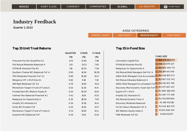#### Quarter 1, 2022

| AJIJA UATEUURIEJ. |             |                      |            |  |
|-------------------|-------------|----------------------|------------|--|
| GENERAL FOULTY    | HIGH FOUITY | <b>MEDIUM EQUITY</b> | LOW FOLITY |  |

ASISA CATEGORIES:

|                                     | <b>QUARTER</b> | 1 YEAR | 5 YEAR |                                     |                           |
|-------------------------------------|----------------|--------|--------|-------------------------------------|---------------------------|
|                                     | $(% )^{(1)}$   | $(\%)$ | $(\%)$ |                                     | <b>FUND SIZE</b>          |
| Prescient Pos Rtn QuantPlus A1      | 3.43           | 17.48  | 7.98   | <b>Coronation Capital Plus</b>      | R13 370 901 77            |
| Old Mutual Moderate Balanced A      | 1.32           | 13.31  | 7.65   | <b>STANLIB Absolute Plus B1</b>     | R6 231 979 22             |
| STANLIB Absolute Plus B1            | 1.15           | 10.05  | 7.36   | Nedgroup Inv Opportunity A          | R5 992 446 77             |
| Southern Charter BCI Balanced FoF A | 0.95           | 14.56  | 10.09  | Old Mutual Multi-Managers Def FoF A | R5 199 641 70             |
| TRG Moderate Prescient FoF A1       | 0.89           | 10.69  | N/A    | ABSA Multi Managed Core Accumulatio | R4 438 109 07             |
| Mergence CPI + 4% Prime A1          | 0.82           | 9.18   | 7.10   | Old Mutual Albaraka Balanced A      | R3 967 032 74             |
| SIM Mgd Moderate FoF A2             | 0.79           | 13.95  | 9.01   | ABSA Multi Managed Accumulation FoF | R3 612 302 75             |
| Momentum Target 4 Fund of Funds A   | O.55           | 12.30  | N/A    | Discovery Mod Dynamic Asset Opt FoF | R <sub>2</sub> 977 857 43 |
| PrivateClient BCI Medium Equity B   | 0.45           | 10.09  | 8.00   | Sygnia CPI + $4\%$ D                | R <sub>2</sub> 690 368 05 |
| Fairtree Flex Balanced Prescient A1 | O.41           | 11.24  | 6.52   | Amplify SCI Absolute A1             | R <sub>2</sub> 597 777 33 |
| Nedgroup Inv Opportunity A          | 0.35           | 18.09  | 7.93   | Old Mutual Dynamic Floor A          | R <sub>2</sub> 541 299 80 |
| Amplify SCI Absolute A1             | 0.34           | 12.36  | N/A    | Discovery Moderate Balanced         | R2 148 451 516            |
| Amity BCI Prudent FoF               | 0.33           | 13.30  | 6.07   | FG SCI Saturn Moderate FoF A        | R2 042 105 07             |
| Momentum Target 5 Fund of Funds A   | 0.31           | 12.60  | N/A    | 10X Medium Equity Index A           | R1 972 948 74             |
| Quantum BCI Balanced FoF            | 0.29           | 9.62   | 6.24   | FNB Moderate FoF B1                 | R1 841 411 177            |
|                                     |                |        |        |                                     |                           |

| $(\%)$ | $(\%)$ | $(\%)$      | <b>FUND SIZE</b>                                                  |
|--------|--------|-------------|-------------------------------------------------------------------|
| 3.43   | 17.48  | 7.98        | R13 370 901 770<br><b>Coronation Capital Plus</b>                 |
| 1.32   | 13.31  | 7.65        | R6 231 979 227<br><b>STANLIB Absolute Plus B1</b>                 |
| 1.15   | 10.05  | 7.36        | R5 992 446 771<br>Nedgroup Inv Opportunity A                      |
| 0.95   | 14.56  | 10.09       | R <sub>5</sub> 199 641 708<br>Old Mutual Multi-Managers Def FoF A |
| 9.89   | 10.69  | N/A         | R4 438 109 073<br>ABSA Multi Managed Core Accumulatio             |
| 0.82   | 9.18   | 7.10        | R3 967 032 742<br>Old Mutual Albaraka Balanced A                  |
| 0.79   | 13.95  | <b>9.01</b> | R <sub>3</sub> 612 302 756<br>ABSA Multi Managed Accumulation FoF |
| 0.55   | 12.30  | N/A         | R <sub>2</sub> 977 857 437<br>Discovery Mod Dynamic Asset Opt FoF |
| 0.45   | 10.09  | 8.00        | R <sub>2</sub> 690 368 055<br>Sygnia CPI + 4% D                   |
| 0.41   | 11.24  | 6.52        | R <sub>2</sub> 597 777 339<br>Amplify SCI Absolute A1             |
| 0.35   | 18.09  | 7.93        | R <sub>2</sub> 541 299 804<br>Old Mutual Dynamic Floor A          |
| 0.34   | 12.36  | N/A         | R <sub>2</sub> 148 451 516<br>Discovery Moderate Balanced         |
| 0.33   | 13.30  | 6.07        | R2 042 105 075<br>FG SCI Saturn Moderate FoF A                    |
| 0.31   | 12.60  | N/A         | R1 972 948 744<br>10X Medium Equity Index A                       |
| 0.29   | 9.62   | 6.24        | R1 841 411 177<br>FNB Moderate FoF B1                             |
|        |        |             |                                                                   |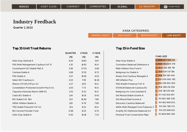Quarter 1, 2022

| ASISA CATEGORIES: |                |               |              |  |
|-------------------|----------------|---------------|--------------|--|
| 'GENERAL FOULLY.  | IHIGH FOLIITY. | MEDIUM EOUITY | LI OW FOUITY |  |

|                                          | <b>QUARTER</b> | 1 YEAR | 5 YEAR |                                     |                             |
|------------------------------------------|----------------|--------|--------|-------------------------------------|-----------------------------|
|                                          | $(\%)$         | $(\%)$ | $(\%)$ |                                     | <b>FUND SIZE</b>            |
| Allan Gray Optimal A                     | 8.53           | 13.65  | 3.87   | Allan Gray Stable A                 | R48 547 568 O10             |
| PSG Multi-Management Cautious FoF D      | 4.12           | 14.92  | N/A    | Coronation Balanced Defensive A     | R30 761 009 378             |
| Counterpoint SCI Stable P&G A            | 2.95           | 27.55  | 3.08   | M&G Inflation Plus Fund A           | R <sub>20</sub> 566 156 719 |
| Camissa Stable A                         | 2.68           | 17.35  | 8.72   | Nedgroup Inv Stable A               | R19 534 017 156             |
| PSG Stable A                             | 2.57           | 15.56  | 6.53   | Ninety One Cautious Managed A       | R18 764 183 440             |
| Select BCI Cautious A                    | 2.43           | 7.95   | 10.26  | <b>SIM Inflation Plus</b>           | R13 009 060 782             |
| Mianzo CPI+3% 27Four A1                  | 2.27           | 11.75  | N/A    | PSG Wealth Preserver FoF D          | R12 058 954 509             |
| Constellation Protected Growth Prscnt A1 | 2.05           | 7.73   | N/A    | STANLIB Balanced Cautious B1        | R <sub>10</sub> 288 212 456 |
| Taquanta Absolute Return SNN R1          | 2.01           | 8.33   | N/A    | Nedgroup Inv Core Guarded B         | R8 719 576 536              |
| Cadiz BCI Stable A                       | 1.34           | 10.15  | 6.45   | Old Mutual Stable Growth A          | R7 403 613 497              |
| <b>BCI Stable FoF 3B1</b>                | 1.23           | 10.90  | 7.80   | Old Mutual Real Income A            | R5 662 380 028              |
| <b>ABSA Inflation Beater A</b>           | 1.20           | 6.79   | 7.90   | Discovery Cautious Balanced         | R4 962 908 001              |
| TRG Stable Prescient FoF A1              | 1.01           | 8.22   | N/A    | ABSA Multi Managed Core Preserver C | R4 544 766 271              |
| <b>BCI Income Provider Fund</b>          | 0.98           | 8.23   | 6.74   | Amplify SCI Defensive Balanced A1   | R4 025 696 621              |
| Allan Gray Stable A                      | 0.92           | 10.16  | 7.23   | Personal Trust Conservative Mgd     | R3 809 890 359              |
|                                          |                |        |        |                                     |                             |

| Allan Gray Stable A                 | R48 547 568 010              |
|-------------------------------------|------------------------------|
| Coronation Balanced Defensive A     | R <sub>3</sub> O 761 009 378 |
| M&G Inflation Plus Fund A           | R <sub>20</sub> 566 156 719  |
| Nedgroup Inv Stable A               | R19 534 017 156              |
| Ninety One Cautious Managed A       | R <sub>18</sub> 764 183 440  |
| <b>SIM Inflation Plus</b>           | R <sub>13</sub> 009 060 782  |
| <b>PSG Wealth Preserver FoF D</b>   | R <sub>12</sub> 058 954 509  |
| <b>STANLIB Balanced Cautious B1</b> | R <sub>10</sub> 288 212 456  |
| Nedgroup Inv Core Guarded B         | R8 719 576 536               |
| Old Mutual Stable Growth A          | R7 403 613 497               |
| Old Mutual Real Income A            | R5 662 380 028               |
| Discovery Cautious Balanced         | R4 962 908 001               |
| ABSA Multi Managed Core Preserver C | R4 544 766 271               |
| Amplify SCI Defensive Balanced A1   | R <sub>4</sub> 025 696 621   |
| Personal Trust Conservative Mgd     | R3 809 890 359               |
|                                     |                              |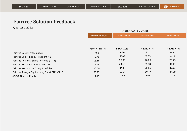Quarter 1, 2022

|                                             | <b>ASISA CATEGORIES:</b> |                    |                      |                   |
|---------------------------------------------|--------------------------|--------------------|----------------------|-------------------|
|                                             | <b>GENERAL EQUITY</b>    | <b>HIGH EQUITY</b> | <b>MEDIUM EQUITY</b> | <b>LOW EQUITY</b> |
|                                             |                          |                    |                      |                   |
|                                             |                          |                    |                      |                   |
|                                             | QUARTER (%)              | <b>YEAR 1 (%)</b>  | <b>YEAR 3 (%)</b>    | <b>YEAR 5 (%)</b> |
| Fairtree Equity Prescient A1                | 7.50                     | 11.26              | 19.52                | 14.75             |
| Fairtree Select Equity Prescient A1         | 11.75                    | 21.O1              | 18.83                | $-N/A$            |
| Fairtree Personal Share Portfolio (RMB)     | 13.58                    | 26.38              | 26.07                | 20.29             |
| Fairtree Equally Weighted Top 20            | 8.37                     | 23.49              | 14.68                | 13.48             |
| Fairtree Worldwide Equity Portfolio         | $-0.59$                  | <b>17.10</b>       | 20.58                | 16.93             |
| Fairtree Assegai Equity Long Short SNN QIHF | 15.70                    | 21.13              | 30.77                | 24.29             |
| <b>ASISA General Equity</b>                 | 4.17                     | 17.64              | 11.17                | 7.78              |
|                                             |                          |                    |                      |                   |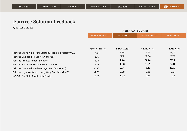|                                                          |                       | <b>ASISA CATEGORIES:</b> |                      |                   |
|----------------------------------------------------------|-----------------------|--------------------------|----------------------|-------------------|
|                                                          | <b>GENERAL EQUITY</b> | <b>HIGH EQUITY</b>       | <b>MEDIUM EQUITY</b> | <b>LOW EQUITY</b> |
|                                                          |                       |                          |                      |                   |
|                                                          |                       |                          |                      |                   |
|                                                          | QUARTER (%)           | <b>YEAR 1 (%)</b>        | <b>YEAR 3 (%)</b>    | <b>YEAR 5 (%)</b> |
| Fairtree Worldwide Multi-Stratgey Flexible Prescienty A1 | $-4.57$               | 3.40                     | 6.72                 | $-N/A$            |
| Fairtree Balanced House View (Wrap)                      | 1.96                  | 11.19                    | 12.68                | 11.73             |
| Fairtree Pre Retirement Solution                         | 1.98                  | 11.24                    | 12.74                | 11.74             |
| Fairtree Balanced House View (7.5% HF)                   | 2.37                  | 11.38                    | 13.29                | 12.14             |
| Fairtree Balanced Multi-Manager Portfolio (RMB)          | $-1.56$               | 7.24                     | <b>11.10</b>         | 10.26             |
| Fairtree High Net Worth Long Only Portfolio (RMB)        | $-2.02$               | 9.99                     | 11.68                | 11.15             |
| (ASISA) SA Multi Asset High Equity                       | $-0.89$               | <b>11.02</b>             | 9.10                 | 7.28              |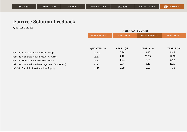|                                                 |                       | <b>ASISA CATEGORIES:</b> |                      |                   |
|-------------------------------------------------|-----------------------|--------------------------|----------------------|-------------------|
|                                                 | <b>GENERAL EQUITY</b> | <b>HIGH EQUITY</b>       | <b>MEDIUM EQUITY</b> | <b>LOW EQUITY</b> |
|                                                 |                       |                          |                      |                   |
|                                                 |                       |                          |                      |                   |
|                                                 | QUARTER (%)           | <b>YEAR 1 (%)</b>        | <b>YEAR 3 (%)</b>    | <b>YEAR 5 (%)</b> |
| Fairtree Moderate House View (Wrap)             | $-0.81$               | 6.76                     | 9.45                 | 9.49              |
| Fairtree Moderate House View (7.5% HF)          | 13.37                 | 7.40                     | 10.33                | 10.08             |
| Fairtree Flexible Balanced Prescient A1         | O.41                  | 11.24                    | 6.31                 | 6.52              |
| Fairtree Balanced Multi-Manager Portfolio (RMB) | $-1.56$               | 7.24                     | 11.1 <sub>O</sub>    | 10.26             |
| (ASISA) SA Multi Asset Medium Equity            | $-1.15$               | 9.89                     | 8.31                 | 7.03              |
|                                                 |                       |                          |                      |                   |

| Fairtree Moderate House View (Wrap)           |
|-----------------------------------------------|
| Fairtree Moderate House View (7.5% HF)        |
| airtree Flexible Balanced Prescient A1        |
| airtree Balanced Multi-Manager Portfolio (RMI |
| (ASISA) SA Multi Asset Medium Equity          |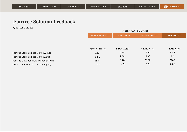Quarter 1, 2022

| <b>ASISA CATEGORIES:</b> |                    |                      |                   |  |  |
|--------------------------|--------------------|----------------------|-------------------|--|--|
| <b>GENERAL EQUITY</b>    | <b>HIGH EQUITY</b> | <b>MEDIUM EQUITY</b> | <b>LOW EQUITY</b> |  |  |
|                          |                    |                      |                   |  |  |
|                          |                    |                      |                   |  |  |
| QUARTER (%)              | <b>YEAR 1 (%)</b>  | <b>YEAR 3 (%)</b>    | <b>YEAR 5 (%)</b> |  |  |
| $-1.22$                  | 6.30               | 7.96                 | 8.44              |  |  |
| $-0.51$                  | 7.00               | 8.96                 | 9.12              |  |  |
| 1.64                     | 8.48               | 13.50                | 11.69             |  |  |
| $-0.92$                  | 8.69               | 7.29                 | 6.67              |  |  |
|                          |                    |                      |                   |  |  |

Fairtree Stable House View (Wrap) Fairtree Stable House View (7.5%) Fairtree Cautious Multi-Manager (RMB) (ASISA) SA Multi Asset Low Equity